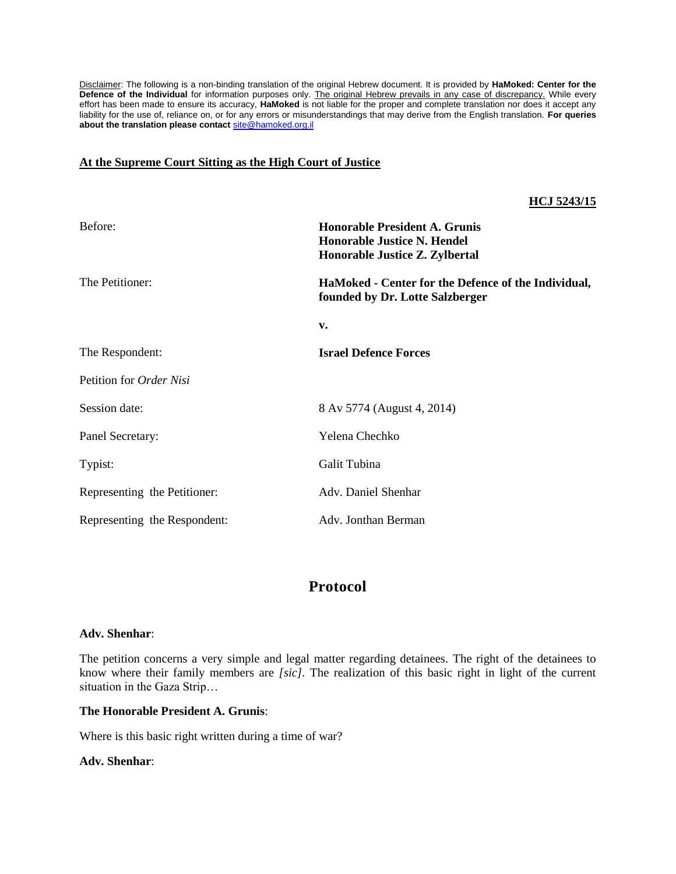Disclaimer: The following is a non-binding translation of the original Hebrew document. It is provided by **HaMoked: Center for the Defence of the Individual** for information purposes only. The original Hebrew prevails in any case of discrepancy. While every effort has been made to ensure its accuracy, **HaMoked** is not liable for the proper and complete translation nor does it accept any liability for the use of, reliance on, or for any errors or misunderstandings that may derive from the English translation. **For queries about the translation please contact** [site@hamoked.org.il](mailto:site@hamoked.org.il)

## **At the Supreme Court Sitting as the High Court of Justice**

**HCJ 5243/15**

| Before:                      | <b>Honorable President A. Grunis</b><br><b>Honorable Justice N. Hendel</b><br>Honorable Justice Z. Zylbertal |
|------------------------------|--------------------------------------------------------------------------------------------------------------|
| The Petitioner:              | HaMoked - Center for the Defence of the Individual,<br>founded by Dr. Lotte Salzberger                       |
|                              | v.                                                                                                           |
| The Respondent:              | <b>Israel Defence Forces</b>                                                                                 |
| Petition for Order Nisi      |                                                                                                              |
| Session date:                | 8 Av 5774 (August 4, 2014)                                                                                   |
| Panel Secretary:             | Yelena Chechko                                                                                               |
| Typist:                      | Galit Tubina                                                                                                 |
| Representing the Petitioner: | Adv. Daniel Shenhar                                                                                          |
| Representing the Respondent: | Adv. Jonthan Berman                                                                                          |

# **Protocol**

## **Adv. Shenhar**:

The petition concerns a very simple and legal matter regarding detainees. The right of the detainees to know where their family members are *[sic].* The realization of this basic right in light of the current situation in the Gaza Strip…

## **The Honorable President A. Grunis**:

Where is this basic right written during a time of war?

#### **Adv. Shenhar**: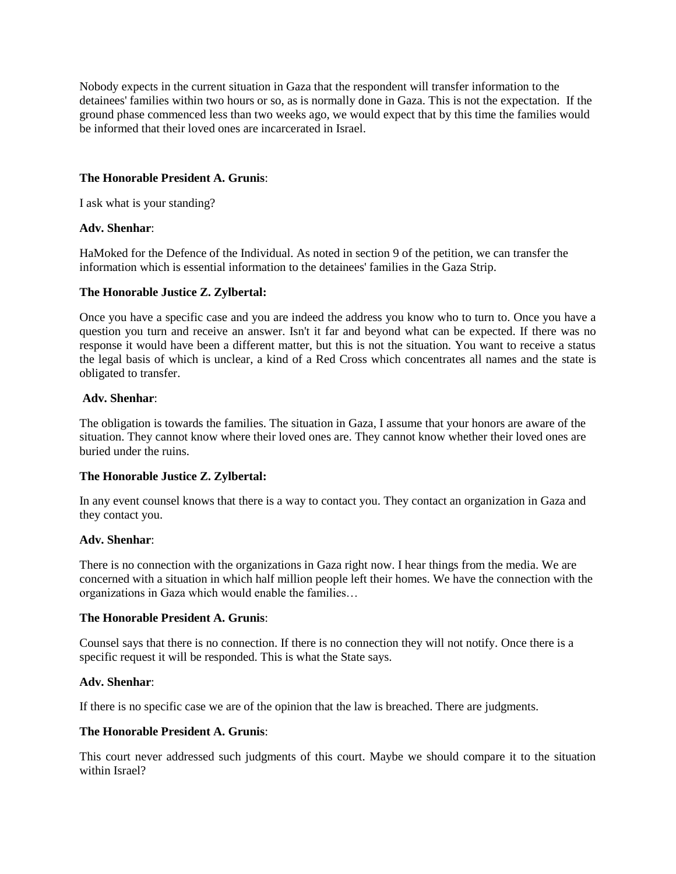Nobody expects in the current situation in Gaza that the respondent will transfer information to the detainees' families within two hours or so, as is normally done in Gaza. This is not the expectation. If the ground phase commenced less than two weeks ago, we would expect that by this time the families would be informed that their loved ones are incarcerated in Israel.

# **The Honorable President A. Grunis**:

I ask what is your standing?

## **Adv. Shenhar**:

HaMoked for the Defence of the Individual. As noted in section 9 of the petition, we can transfer the information which is essential information to the detainees' families in the Gaza Strip.

## **The Honorable Justice Z. Zylbertal:**

Once you have a specific case and you are indeed the address you know who to turn to. Once you have a question you turn and receive an answer. Isn't it far and beyond what can be expected. If there was no response it would have been a different matter, but this is not the situation. You want to receive a status the legal basis of which is unclear, a kind of a Red Cross which concentrates all names and the state is obligated to transfer.

## **Adv. Shenhar**:

The obligation is towards the families. The situation in Gaza, I assume that your honors are aware of the situation. They cannot know where their loved ones are. They cannot know whether their loved ones are buried under the ruins.

## **The Honorable Justice Z. Zylbertal:**

In any event counsel knows that there is a way to contact you. They contact an organization in Gaza and they contact you.

#### **Adv. Shenhar**:

There is no connection with the organizations in Gaza right now. I hear things from the media. We are concerned with a situation in which half million people left their homes. We have the connection with the organizations in Gaza which would enable the families…

#### **The Honorable President A. Grunis**:

Counsel says that there is no connection. If there is no connection they will not notify. Once there is a specific request it will be responded. This is what the State says.

#### **Adv. Shenhar**:

If there is no specific case we are of the opinion that the law is breached. There are judgments.

## **The Honorable President A. Grunis**:

This court never addressed such judgments of this court. Maybe we should compare it to the situation within Israel?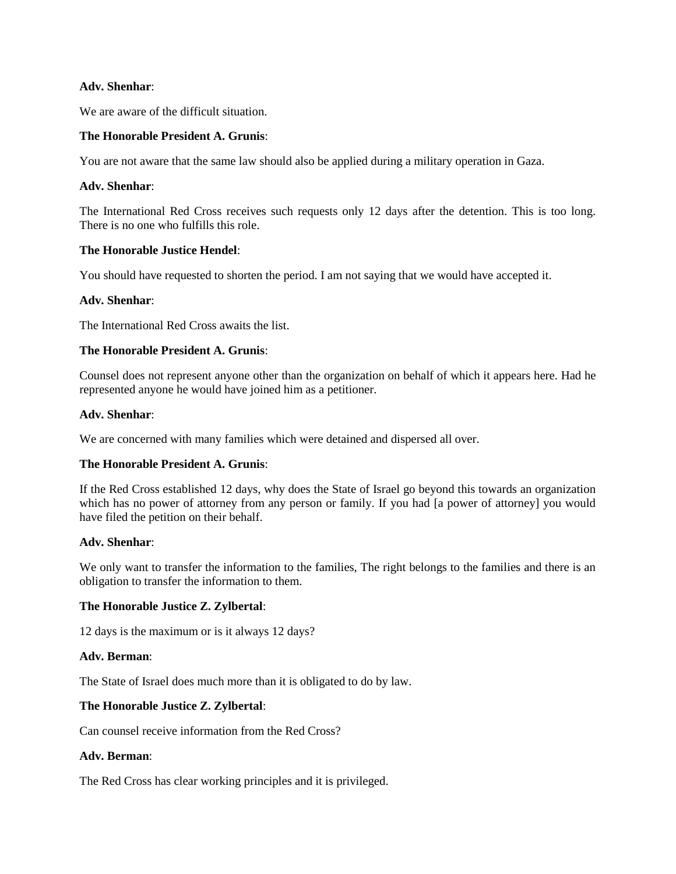# **Adv. Shenhar**:

We are aware of the difficult situation.

## **The Honorable President A. Grunis**:

You are not aware that the same law should also be applied during a military operation in Gaza.

#### **Adv. Shenhar**:

The International Red Cross receives such requests only 12 days after the detention. This is too long. There is no one who fulfills this role.

# **The Honorable Justice Hendel**:

You should have requested to shorten the period. I am not saying that we would have accepted it.

## **Adv. Shenhar**:

The International Red Cross awaits the list.

## **The Honorable President A. Grunis**:

Counsel does not represent anyone other than the organization on behalf of which it appears here. Had he represented anyone he would have joined him as a petitioner.

#### **Adv. Shenhar**:

We are concerned with many families which were detained and dispersed all over.

## **The Honorable President A. Grunis**:

If the Red Cross established 12 days, why does the State of Israel go beyond this towards an organization which has no power of attorney from any person or family. If you had [a power of attorney] you would have filed the petition on their behalf.

#### **Adv. Shenhar**:

We only want to transfer the information to the families, The right belongs to the families and there is an obligation to transfer the information to them.

## **The Honorable Justice Z. Zylbertal**:

12 days is the maximum or is it always 12 days?

#### **Adv. Berman**:

The State of Israel does much more than it is obligated to do by law.

## **The Honorable Justice Z. Zylbertal**:

Can counsel receive information from the Red Cross?

## **Adv. Berman**:

The Red Cross has clear working principles and it is privileged.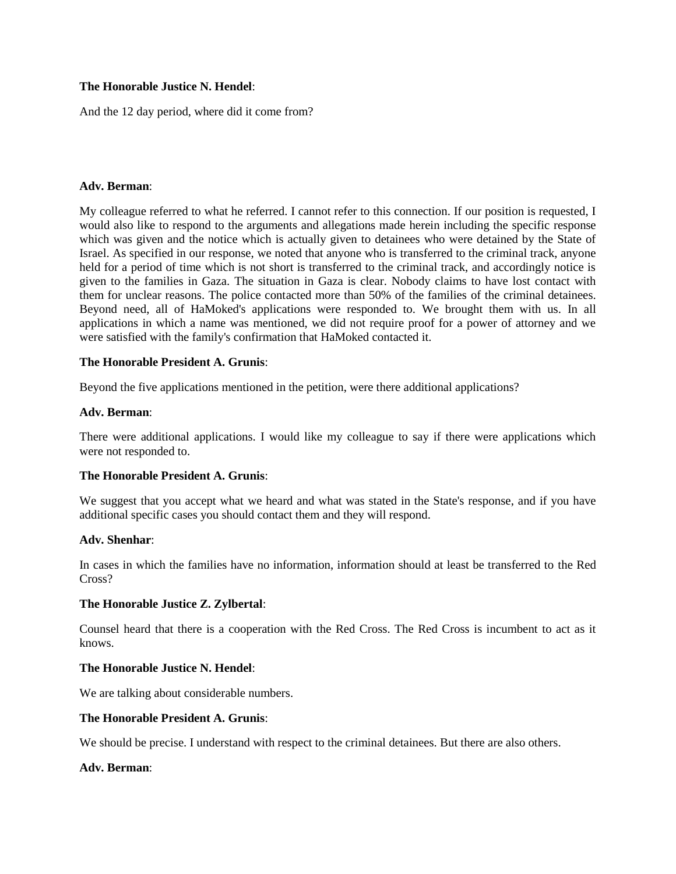## **The Honorable Justice N. Hendel**:

And the 12 day period, where did it come from?

#### **Adv. Berman**:

My colleague referred to what he referred. I cannot refer to this connection. If our position is requested, I would also like to respond to the arguments and allegations made herein including the specific response which was given and the notice which is actually given to detainees who were detained by the State of Israel. As specified in our response, we noted that anyone who is transferred to the criminal track, anyone held for a period of time which is not short is transferred to the criminal track, and accordingly notice is given to the families in Gaza. The situation in Gaza is clear. Nobody claims to have lost contact with them for unclear reasons. The police contacted more than 50% of the families of the criminal detainees. Beyond need, all of HaMoked's applications were responded to. We brought them with us. In all applications in which a name was mentioned, we did not require proof for a power of attorney and we were satisfied with the family's confirmation that HaMoked contacted it.

## **The Honorable President A. Grunis**:

Beyond the five applications mentioned in the petition, were there additional applications?

## **Adv. Berman**:

There were additional applications. I would like my colleague to say if there were applications which were not responded to.

#### **The Honorable President A. Grunis**:

We suggest that you accept what we heard and what was stated in the State's response, and if you have additional specific cases you should contact them and they will respond.

## **Adv. Shenhar**:

In cases in which the families have no information, information should at least be transferred to the Red Cross?

## **The Honorable Justice Z. Zylbertal**:

Counsel heard that there is a cooperation with the Red Cross. The Red Cross is incumbent to act as it knows.

## **The Honorable Justice N. Hendel**:

We are talking about considerable numbers.

## **The Honorable President A. Grunis**:

We should be precise. I understand with respect to the criminal detainees. But there are also others.

## **Adv. Berman**: